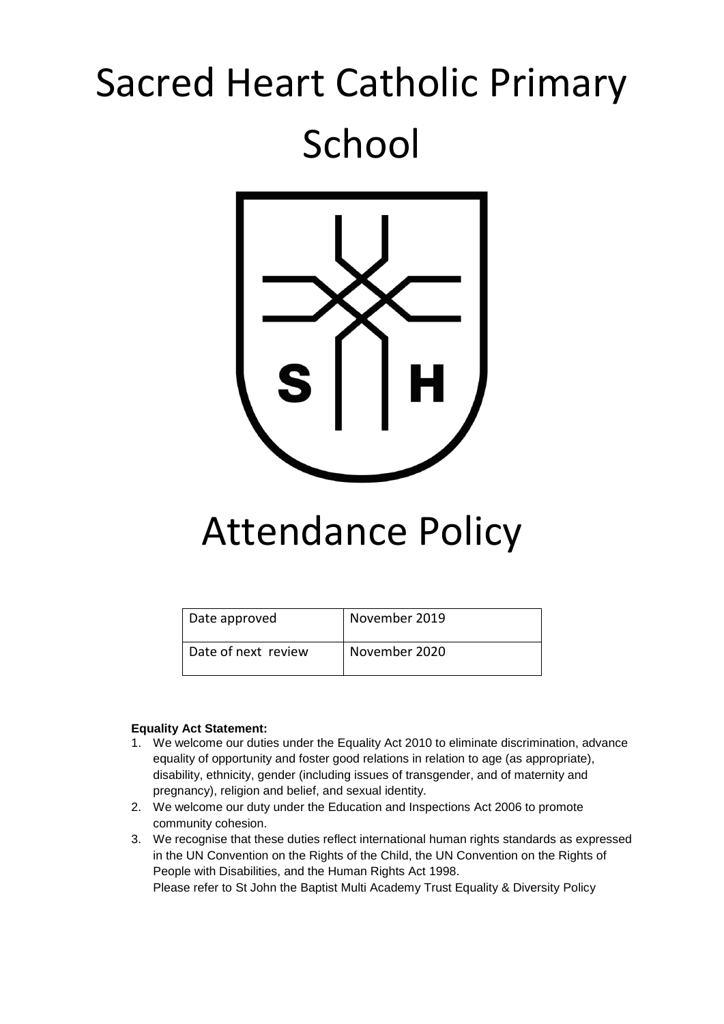# Sacred Heart Catholic Primary School



# Attendance Policy

| Date approved       | November 2019 |
|---------------------|---------------|
| Date of next review | November 2020 |

# **Equality Act Statement:**

- 1. We welcome our duties under the Equality Act 2010 to eliminate discrimination, advance equality of opportunity and foster good relations in relation to age (as appropriate), disability, ethnicity, gender (including issues of transgender, and of maternity and pregnancy), religion and belief, and sexual identity.
- 2. We welcome our duty under the Education and Inspections Act 2006 to promote community cohesion.
- 3. We recognise that these duties reflect international human rights standards as expressed in the UN Convention on the Rights of the Child, the UN Convention on the Rights of People with Disabilities, and the Human Rights Act 1998.

Please refer to St John the Baptist Multi Academy Trust Equality & Diversity Policy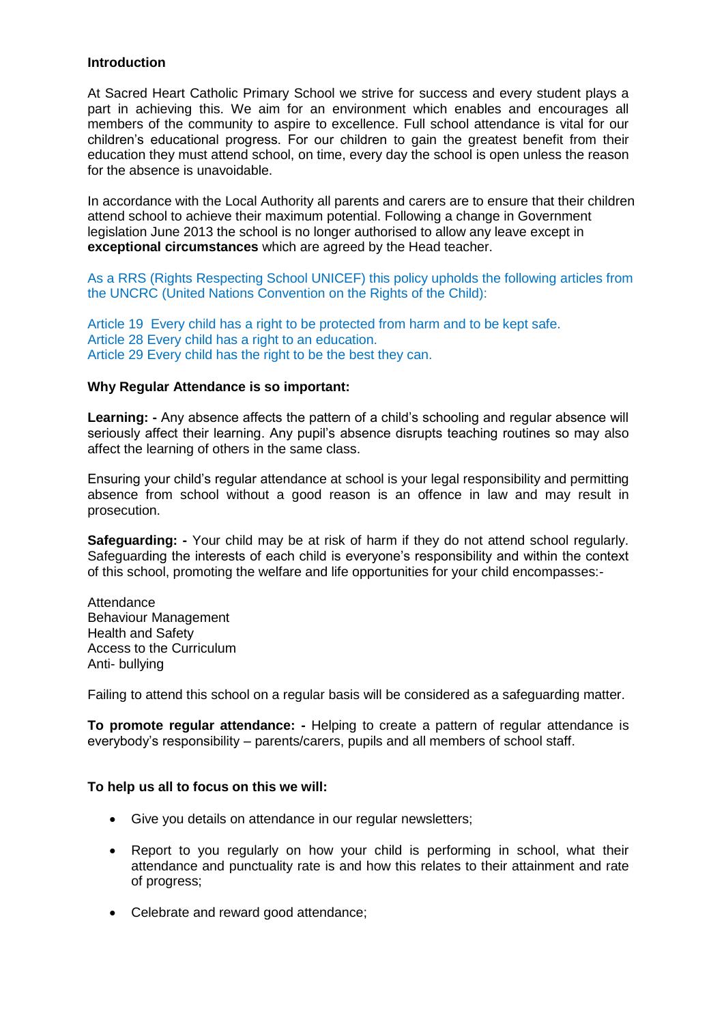#### **Introduction**

At Sacred Heart Catholic Primary School we strive for success and every student plays a part in achieving this. We aim for an environment which enables and encourages all members of the community to aspire to excellence. Full school attendance is vital for our children's educational progress. For our children to gain the greatest benefit from their education they must attend school, on time, every day the school is open unless the reason for the absence is unavoidable.

In accordance with the Local Authority all parents and carers are to ensure that their children attend school to achieve their maximum potential. Following a change in Government legislation June 2013 the school is no longer authorised to allow any leave except in **exceptional circumstances** which are agreed by the Head teacher.

As a RRS (Rights Respecting School UNICEF) this policy upholds the following articles from the UNCRC (United Nations Convention on the Rights of the Child):

Article 19 Every child has a right to be protected from harm and to be kept safe. Article 28 Every child has a right to an education. Article 29 Every child has the right to be the best they can.

#### **Why Regular Attendance is so important:**

**Learning: -** Any absence affects the pattern of a child's schooling and regular absence will seriously affect their learning. Any pupil's absence disrupts teaching routines so may also affect the learning of others in the same class.

Ensuring your child's regular attendance at school is your legal responsibility and permitting absence from school without a good reason is an offence in law and may result in prosecution.

**Safeguarding: -** Your child may be at risk of harm if they do not attend school regularly. Safeguarding the interests of each child is everyone's responsibility and within the context of this school, promoting the welfare and life opportunities for your child encompasses:-

Attendance Behaviour Management Health and Safety Access to the Curriculum Anti- bullying

Failing to attend this school on a regular basis will be considered as a safeguarding matter.

**To promote regular attendance: -** Helping to create a pattern of regular attendance is everybody's responsibility – parents/carers, pupils and all members of school staff.

# **To help us all to focus on this we will:**

- Give you details on attendance in our regular newsletters;
- Report to you regularly on how your child is performing in school, what their attendance and punctuality rate is and how this relates to their attainment and rate of progress;
- Celebrate and reward good attendance;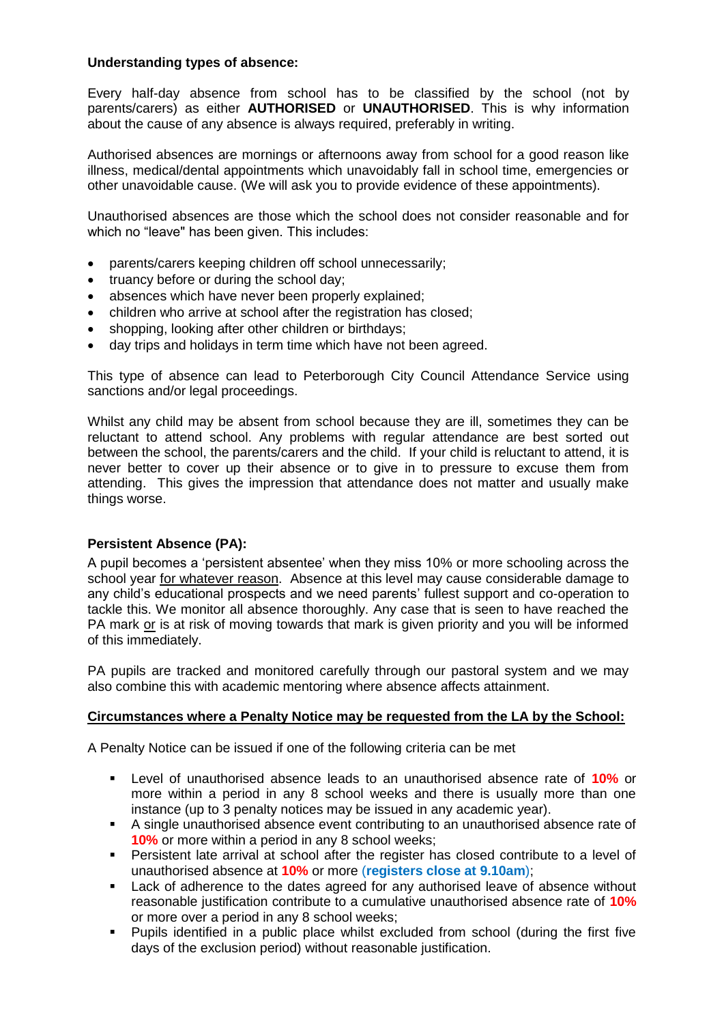# **Understanding types of absence:**

Every half-day absence from school has to be classified by the school (not by parents/carers) as either **AUTHORISED** or **UNAUTHORISED**. This is why information about the cause of any absence is always required, preferably in writing.

Authorised absences are mornings or afternoons away from school for a good reason like illness, medical/dental appointments which unavoidably fall in school time, emergencies or other unavoidable cause. (We will ask you to provide evidence of these appointments).

Unauthorised absences are those which the school does not consider reasonable and for which no "leave" has been given. This includes:

- parents/carers keeping children off school unnecessarily;
- truancy before or during the school day;
- absences which have never been properly explained;
- children who arrive at school after the registration has closed;
- shopping, looking after other children or birthdays;
- day trips and holidays in term time which have not been agreed.

This type of absence can lead to Peterborough City Council Attendance Service using sanctions and/or legal proceedings.

Whilst any child may be absent from school because they are ill, sometimes they can be reluctant to attend school. Any problems with regular attendance are best sorted out between the school, the parents/carers and the child. If your child is reluctant to attend, it is never better to cover up their absence or to give in to pressure to excuse them from attending. This gives the impression that attendance does not matter and usually make things worse.

# **Persistent Absence (PA):**

A pupil becomes a 'persistent absentee' when they miss 10% or more schooling across the school year for whatever reason. Absence at this level may cause considerable damage to any child's educational prospects and we need parents' fullest support and co-operation to tackle this. We monitor all absence thoroughly. Any case that is seen to have reached the PA mark or is at risk of moving towards that mark is given priority and you will be informed of this immediately.

PA pupils are tracked and monitored carefully through our pastoral system and we may also combine this with academic mentoring where absence affects attainment.

# **Circumstances where a Penalty Notice may be requested from the LA by the School:**

A Penalty Notice can be issued if one of the following criteria can be met

- Level of unauthorised absence leads to an unauthorised absence rate of **10%** or more within a period in any 8 school weeks and there is usually more than one instance (up to 3 penalty notices may be issued in any academic year).
- A single unauthorised absence event contributing to an unauthorised absence rate of **10%** or more within a period in any 8 school weeks;
- Persistent late arrival at school after the register has closed contribute to a level of unauthorised absence at **10%** or more (**registers close at 9.10am**);
- **EXEC** Lack of adherence to the dates agreed for any authorised leave of absence without reasonable justification contribute to a cumulative unauthorised absence rate of **10%** or more over a period in any 8 school weeks;
- Pupils identified in a public place whilst excluded from school (during the first five days of the exclusion period) without reasonable justification.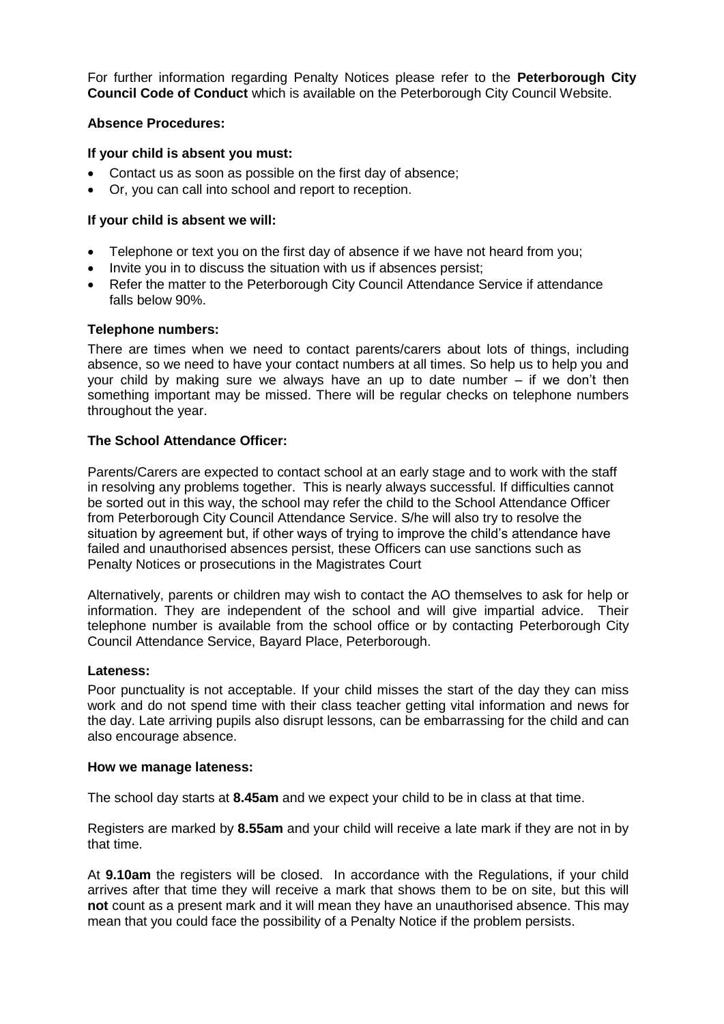For further information regarding Penalty Notices please refer to the **Peterborough City Council Code of Conduct** which is available on the Peterborough City Council Website.

#### **Absence Procedures:**

#### **If your child is absent you must:**

- Contact us as soon as possible on the first day of absence;
- Or, you can call into school and report to reception.

#### **If your child is absent we will:**

- Telephone or text you on the first day of absence if we have not heard from you;
- Invite you in to discuss the situation with us if absences persist;
- Refer the matter to the Peterborough City Council Attendance Service if attendance falls below 90%.

#### **Telephone numbers:**

There are times when we need to contact parents/carers about lots of things, including absence, so we need to have your contact numbers at all times. So help us to help you and your child by making sure we always have an up to date number – if we don't then something important may be missed. There will be regular checks on telephone numbers throughout the year.

#### **The School Attendance Officer:**

Parents/Carers are expected to contact school at an early stage and to work with the staff in resolving any problems together. This is nearly always successful. If difficulties cannot be sorted out in this way, the school may refer the child to the School Attendance Officer from Peterborough City Council Attendance Service. S/he will also try to resolve the situation by agreement but, if other ways of trying to improve the child's attendance have failed and unauthorised absences persist, these Officers can use sanctions such as Penalty Notices or prosecutions in the Magistrates Court

Alternatively, parents or children may wish to contact the AO themselves to ask for help or information. They are independent of the school and will give impartial advice. Their telephone number is available from the school office or by contacting Peterborough City Council Attendance Service, Bayard Place, Peterborough.

#### **Lateness:**

Poor punctuality is not acceptable. If your child misses the start of the day they can miss work and do not spend time with their class teacher getting vital information and news for the day. Late arriving pupils also disrupt lessons, can be embarrassing for the child and can also encourage absence.

#### **How we manage lateness:**

The school day starts at **8.45am** and we expect your child to be in class at that time.

Registers are marked by **8.55am** and your child will receive a late mark if they are not in by that time.

At **9.10am** the registers will be closed. In accordance with the Regulations, if your child arrives after that time they will receive a mark that shows them to be on site, but this will **not** count as a present mark and it will mean they have an unauthorised absence. This may mean that you could face the possibility of a Penalty Notice if the problem persists.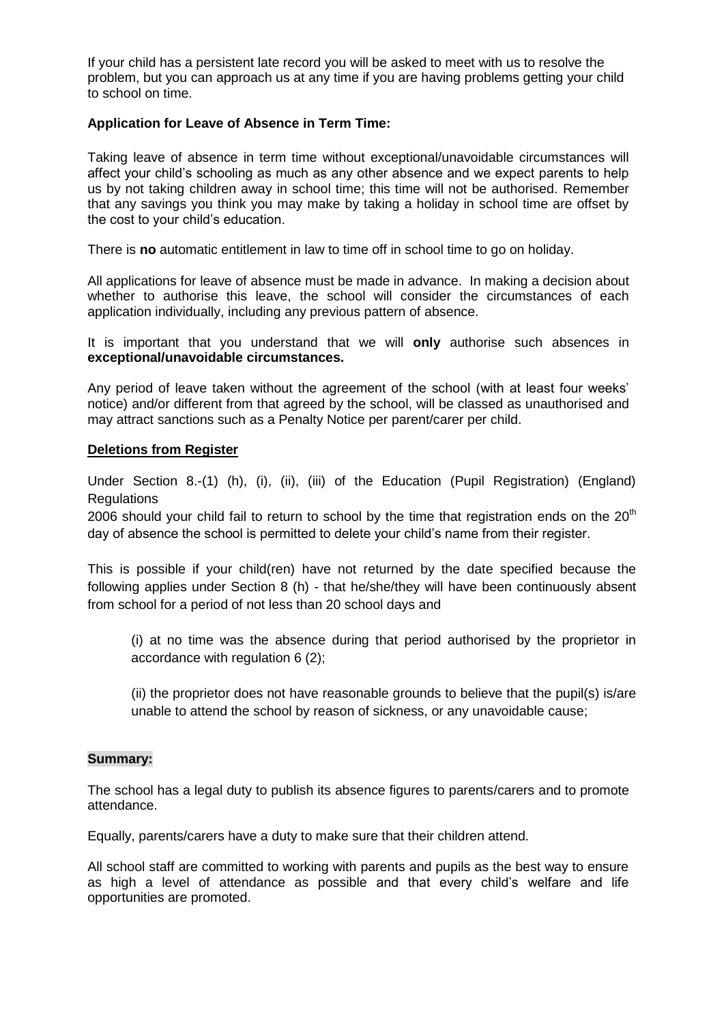If your child has a persistent late record you will be asked to meet with us to resolve the problem, but you can approach us at any time if you are having problems getting your child to school on time.

# **Application for Leave of Absence in Term Time:**

Taking leave of absence in term time without exceptional/unavoidable circumstances will affect your child's schooling as much as any other absence and we expect parents to help us by not taking children away in school time; this time will not be authorised. Remember that any savings you think you may make by taking a holiday in school time are offset by the cost to your child's education.

There is **no** automatic entitlement in law to time off in school time to go on holiday.

All applications for leave of absence must be made in advance. In making a decision about whether to authorise this leave, the school will consider the circumstances of each application individually, including any previous pattern of absence.

It is important that you understand that we will **only** authorise such absences in **exceptional/unavoidable circumstances.** 

Any period of leave taken without the agreement of the school (with at least four weeks' notice) and/or different from that agreed by the school, will be classed as unauthorised and may attract sanctions such as a Penalty Notice per parent/carer per child.

#### **Deletions from Register**

Under Section 8.-(1) (h), (i), (ii), (iii) of the Education (Pupil Registration) (England) Regulations

2006 should your child fail to return to school by the time that registration ends on the  $20<sup>th</sup>$ day of absence the school is permitted to delete your child's name from their register.

This is possible if your child(ren) have not returned by the date specified because the following applies under Section 8 (h) - that he/she/they will have been continuously absent from school for a period of not less than 20 school days and

(i) at no time was the absence during that period authorised by the proprietor in accordance with regulation 6 (2);

(ii) the proprietor does not have reasonable grounds to believe that the pupil(s) is/are unable to attend the school by reason of sickness, or any unavoidable cause;

#### **Summary:**

The school has a legal duty to publish its absence figures to parents/carers and to promote attendance.

Equally, parents/carers have a duty to make sure that their children attend.

All school staff are committed to working with parents and pupils as the best way to ensure as high a level of attendance as possible and that every child's welfare and life opportunities are promoted.